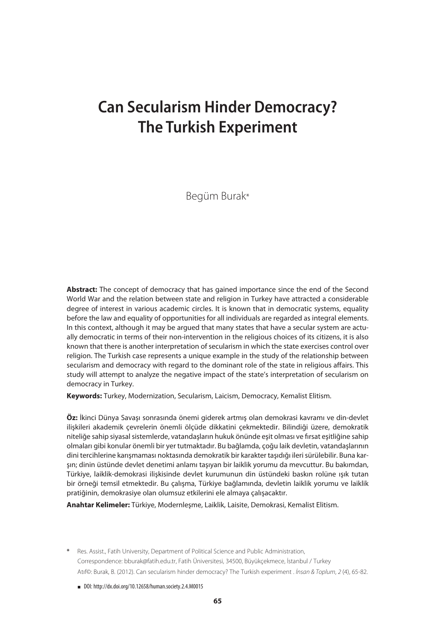# **Can Secularism Hinder Democracy? The Turkish Experiment**

Begüm Burak\*

**Abstract:** The concept of democracy that has gained importance since the end of the Second World War and the relation between state and religion in Turkey have attracted a considerable degree of interest in various academic circles. It is known that in democratic systems, equality before the law and equality of opportunities for all individuals are regarded as integral elements. In this context, although it may be argued that many states that have a secular system are actually democratic in terms of their non-intervention in the religious choices of its citizens, it is also known that there is another interpretation of secularism in which the state exercises control over religion. The Turkish case represents a unique example in the study of the relationship between secularism and democracy with regard to the dominant role of the state in religious affairs. This study will attempt to analyze the negative impact of the state's interpretation of secularism on democracy in Turkey.

**Keywords:** Turkey, Modernization, Secularism, Laicism, Democracy, Kemalist Elitism.

**Öz:** İkinci Dünya Savaşı sonrasında önemi giderek artmış olan demokrasi kavramı ve din-devlet ilişkileri akademik çevrelerin önemli ölçüde dikkatini çekmektedir. Bilindiği üzere, demokratik niteliğe sahip siyasal sistemlerde, vatandaşların hukuk önünde eşit olması ve fırsat eşitliğine sahip olmaları gibi konular önemli bir yer tutmaktadır. Bu bağlamda, çoğu laik devletin, vatandaşlarının dini tercihlerine karışmaması noktasında demokratik bir karakter taşıdığı ileri sürülebilir. Buna karşın; dinin üstünde devlet denetimi anlamı taşıyan bir laiklik yorumu da mevcuttur. Bu bakımdan, Türkiye, laiklik-demokrasi ilişkisinde devlet kurumunun din üstündeki baskın rolüne ışık tutan bir örneği temsil etmektedir. Bu çalışma, Türkiye bağlamında, devletin laiklik yorumu ve laiklik pratiğinin, demokrasiye olan olumsuz etkilerini ele almaya çalışacaktır.

**Anahtar Kelimeler:** Türkiye, Modernleşme, Laiklik, Laisite, Demokrasi, Kemalist Elitism.

- **\*** Res. Assist., Fatih University, Department of Political Science and Public Administration, Correspondence: bburak@fatih.edu.tr, Fatih Üniversitesi, 34500, Büyükçekmece, İstanbul / Turkey Atıf©: Burak, B. (2012). Can secularism hinder democracy? The Turkish experiment . *İnsan & Toplum*, *2* (4), 65-82.
	- DOI: http://dx.doi.org/10.12658/human.society.2.4.M0015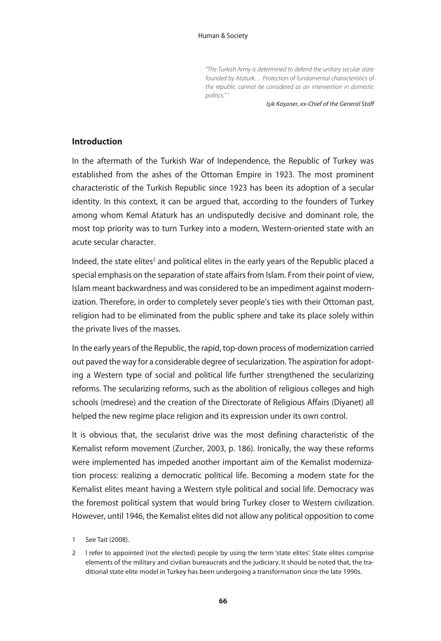*"The Turkish Army is determined to defend the unitary secular state founded by Ataturk… Protection of fundamental characteristics of the republic cannot be considered as an intervention in domestic politics." 1*

*Işık Koşaner, ex-Chief of the General Staff*

### **Introduction**

In the aftermath of the Turkish War of Independence, the Republic of Turkey was established from the ashes of the Ottoman Empire in 1923. The most prominent characteristic of the Turkish Republic since 1923 has been its adoption of a secular identity. In this context, it can be argued that, according to the founders of Turkey among whom Kemal Ataturk has an undisputedly decisive and dominant role, the most top priority was to turn Turkey into a modern, Western-oriented state with an acute secular character.

Indeed, the state elites<sup>2</sup> and political elites in the early years of the Republic placed a special emphasis on the separation of state affairs from Islam. From their point of view, Islam meant backwardness and was considered to be an impediment against modernization. Therefore, in order to completely sever people's ties with their Ottoman past, religion had to be eliminated from the public sphere and take its place solely within the private lives of the masses.

In the early years of the Republic, the rapid, top-down process of modernization carried out paved the way for a considerable degree of secularization. The aspiration for adopting a Western type of social and political life further strengthened the secularizing reforms. The secularizing reforms, such as the abolition of religious colleges and high schools (medrese) and the creation of the Directorate of Religious Affairs (Diyanet) all helped the new regime place religion and its expression under its own control.

It is obvious that, the secularist drive was the most defining characteristic of the Kemalist reform movement (Zurcher, 2003, p. 186). Ironically, the way these reforms were implemented has impeded another important aim of the Kemalist modernization process: realizing a democratic political life. Becoming a modern state for the Kemalist elites meant having a Western style political and social life. Democracy was the foremost political system that would bring Turkey closer to Western civilization. However, until 1946, the Kemalist elites did not allow any political opposition to come

<sup>1</sup> See Tait (2008).

<sup>2</sup> I refer to appointed (not the elected) people by using the term 'state elites'. State elites comprise elements of the military and civilian bureaucrats and the judiciary. It should be noted that, the traditional state elite model in Turkey has been undergoing a transformation since the late 1990s.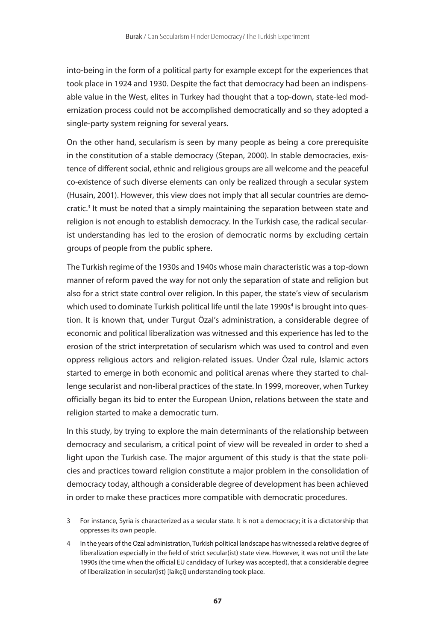into-being in the form of a political party for example except for the experiences that took place in 1924 and 1930. Despite the fact that democracy had been an indispensable value in the West, elites in Turkey had thought that a top-down, state-led modernization process could not be accomplished democratically and so they adopted a single-party system reigning for several years.

On the other hand, secularism is seen by many people as being a core prerequisite in the constitution of a stable democracy (Stepan, 2000). In stable democracies, existence of different social, ethnic and religious groups are all welcome and the peaceful co-existence of such diverse elements can only be realized through a secular system (Husain, 2001). However, this view does not imply that all secular countries are democratic.<sup>3</sup> It must be noted that a simply maintaining the separation between state and religion is not enough to establish democracy. In the Turkish case, the radical secularist understanding has led to the erosion of democratic norms by excluding certain groups of people from the public sphere.

The Turkish regime of the 1930s and 1940s whose main characteristic was a top-down manner of reform paved the way for not only the separation of state and religion but also for a strict state control over religion. In this paper, the state's view of secularism which used to dominate Turkish political life until the late 1990s<sup>4</sup> is brought into question. It is known that, under Turgut Özal's administration, a considerable degree of economic and political liberalization was witnessed and this experience has led to the erosion of the strict interpretation of secularism which was used to control and even oppress religious actors and religion-related issues. Under Özal rule, Islamic actors started to emerge in both economic and political arenas where they started to challenge secularist and non-liberal practices of the state. In 1999, moreover, when Turkey officially began its bid to enter the European Union, relations between the state and religion started to make a democratic turn.

In this study, by trying to explore the main determinants of the relationship between democracy and secularism, a critical point of view will be revealed in order to shed a light upon the Turkish case. The major argument of this study is that the state policies and practices toward religion constitute a major problem in the consolidation of democracy today, although a considerable degree of development has been achieved in order to make these practices more compatible with democratic procedures.

- 3 For instance, Syria is characterized as a secular state. It is not a democracy; it is a dictatorship that oppresses its own people.
- 4 In the years of the Ozal administration, Turkish political landscape has witnessed a relative degree of liberalization especially in the field of strict secular(ist) state view. However, it was not until the late 1990s (the time when the official EU candidacy of Turkey was accepted), that a considerable degree of liberalization in secular(ist) [laikçi] understanding took place.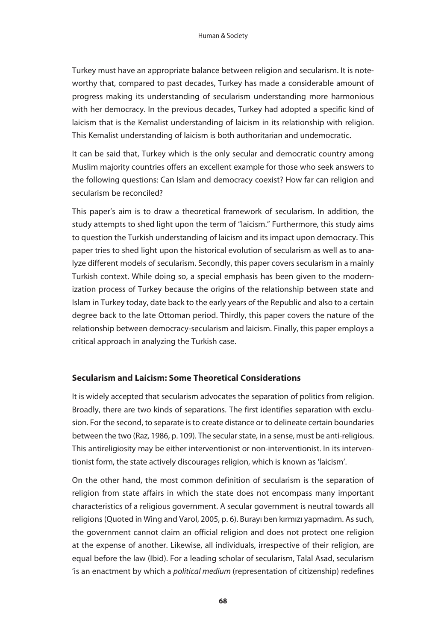Turkey must have an appropriate balance between religion and secularism. It is noteworthy that, compared to past decades, Turkey has made a considerable amount of progress making its understanding of secularism understanding more harmonious with her democracy. In the previous decades, Turkey had adopted a specific kind of laicism that is the Kemalist understanding of laicism in its relationship with religion. This Kemalist understanding of laicism is both authoritarian and undemocratic.

It can be said that, Turkey which is the only secular and democratic country among Muslim majority countries offers an excellent example for those who seek answers to the following questions: Can Islam and democracy coexist? How far can religion and secularism be reconciled?

This paper's aim is to draw a theoretical framework of secularism. In addition, the study attempts to shed light upon the term of "laicism." Furthermore, this study aims to question the Turkish understanding of laicism and its impact upon democracy. This paper tries to shed light upon the historical evolution of secularism as well as to analyze different models of secularism. Secondly, this paper covers secularism in a mainly Turkish context. While doing so, a special emphasis has been given to the modernization process of Turkey because the origins of the relationship between state and Islam in Turkey today, date back to the early years of the Republic and also to a certain degree back to the late Ottoman period. Thirdly, this paper covers the nature of the relationship between democracy-secularism and laicism. Finally, this paper employs a critical approach in analyzing the Turkish case.

## **Secularism and Laicism: Some Theoretical Considerations**

It is widely accepted that secularism advocates the separation of politics from religion. Broadly, there are two kinds of separations. The first identifies separation with exclusion. For the second, to separate is to create distance or to delineate certain boundaries between the two (Raz, 1986, p. 109). The secular state, in a sense, must be anti-religious. This antireligiosity may be either interventionist or non-interventionist. In its interventionist form, the state actively discourages religion, which is known as 'laicism'.

On the other hand, the most common definition of secularism is the separation of religion from state affairs in which the state does not encompass many important characteristics of a religious government. A secular government is neutral towards all religions (Quoted in Wing and Varol, 2005, p. 6). Burayı ben kırmızı yapmadım. As such, the government cannot claim an official religion and does not protect one religion at the expense of another. Likewise, all individuals, irrespective of their religion, are equal before the law (Ibid). For a leading scholar of secularism, Talal Asad, secularism 'is an enactment by which a *political medium* (representation of citizenship) redefines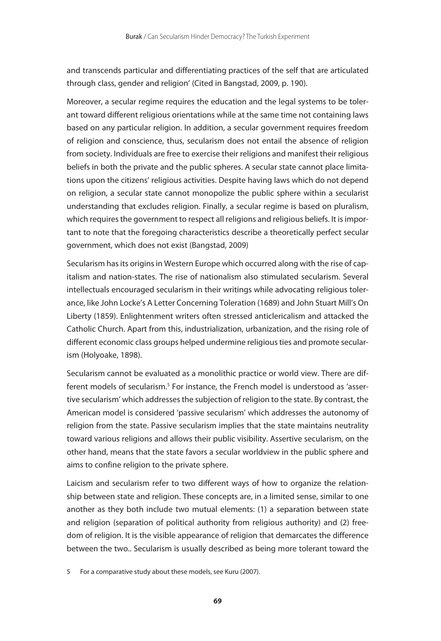and transcends particular and differentiating practices of the self that are articulated through class, gender and religion' (Cited in Bangstad, 2009, p. 190).

Moreover, a secular regime requires the education and the legal systems to be tolerant toward different religious orientations while at the same time not containing laws based on any particular religion. In addition, a secular government requires freedom of religion and conscience, thus, secularism does not entail the absence of religion from society. Individuals are free to exercise their religions and manifest their religious beliefs in both the private and the public spheres. A secular state cannot place limitations upon the citizens' religious activities. Despite having laws which do not depend on religion, a secular state cannot monopolize the public sphere within a secularist understanding that excludes religion. Finally, a secular regime is based on pluralism, which requires the government to respect all religions and religious beliefs. It is important to note that the foregoing characteristics describe a theoretically perfect secular government, which does not exist (Bangstad, 2009)

Secularism has its origins in Western Europe which occurred along with the rise of capitalism and nation-states. The rise of nationalism also stimulated secularism. Several intellectuals encouraged secularism in their writings while advocating religious tolerance, like John Locke's A Letter Concerning Toleration (1689) and John Stuart Mill's On Liberty (1859). Enlightenment writers often stressed anticlericalism and attacked the Catholic Church. Apart from this, industrialization, urbanization, and the rising role of different economic class groups helped undermine religious ties and promote secularism (Holyoake, 1898).

Secularism cannot be evaluated as a monolithic practice or world view. There are different models of secularism.<sup>5</sup> For instance, the French model is understood as 'assertive secularism' which addresses the subjection of religion to the state. By contrast, the American model is considered 'passive secularism' which addresses the autonomy of religion from the state. Passive secularism implies that the state maintains neutrality toward various religions and allows their public visibility. Assertive secularism, on the other hand, means that the state favors a secular worldview in the public sphere and aims to confine religion to the private sphere.

Laicism and secularism refer to two different ways of how to organize the relationship between state and religion. These concepts are, in a limited sense, similar to one another as they both include two mutual elements: (1) a separation between state and religion (separation of political authority from religious authority) and (2) freedom of religion. It is the visible appearance of religion that demarcates the difference between the two.. Secularism is usually described as being more tolerant toward the

5 For a comparative study about these models, see Kuru (2007).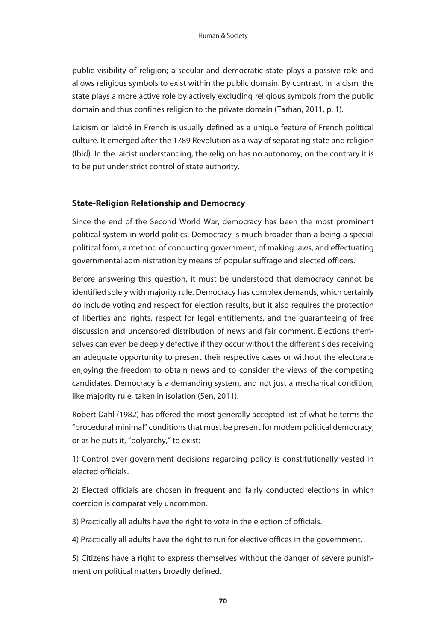public visibility of religion; a secular and democratic state plays a passive role and allows religious symbols to exist within the public domain. By contrast, in laicism, the state plays a more active role by actively excluding religious symbols from the public domain and thus confines religion to the private domain (Tarhan, 2011, p. 1).

Laicism or laïcité in French is usually defined as a unique feature of French political culture. It emerged after the 1789 Revolution as a way of separating state and religion (Ibid). In the laicist understanding, the religion has no autonomy; on the contrary it is to be put under strict control of state authority.

## **State-Religion Relationship and Democracy**

Since the end of the Second World War, democracy has been the most prominent political system in world politics. Democracy is much broader than a being a special political form, a method of conducting government, of making laws, and effectuating governmental administration by means of popular suffrage and elected officers.

Before answering this question, it must be understood that democracy cannot be identified solely with majority rule. Democracy has complex demands, which certainly do include voting and respect for election results, but it also requires the protection of liberties and rights, respect for legal entitlements, and the guaranteeing of free discussion and uncensored distribution of news and fair comment. Elections themselves can even be deeply defective if they occur without the different sides receiving an adequate opportunity to present their respective cases or without the electorate enjoying the freedom to obtain news and to consider the views of the competing candidates. Democracy is a demanding system, and not just a mechanical condition, like majority rule, taken in isolation (Sen, 2011).

Robert Dahl (1982) has offered the most generally accepted list of what he terms the "procedural minimal" conditions that must be present for modem political democracy, or as he puts it, "polyarchy," to exist:

1) Control over government decisions regarding policy is constitutionally vested in elected officials.

2) Elected officials are chosen in frequent and fairly conducted elections in which coercion is comparatively uncommon.

3) Practically all adults have the right to vote in the election of officials.

4) Practically all adults have the right to run for elective offices in the government.

5) Citizens have a right to express themselves without the danger of severe punishment on political matters broadly defined.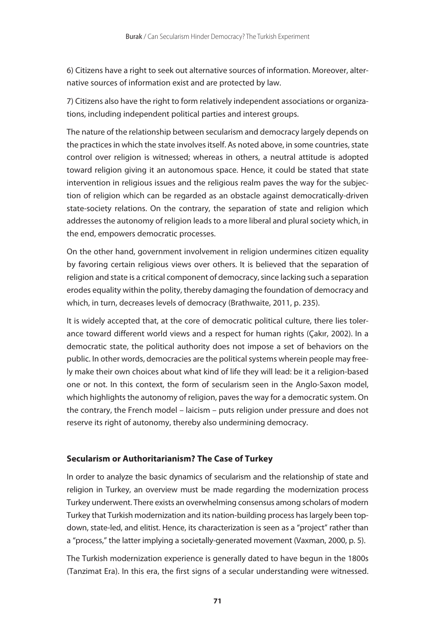6) Citizens have a right to seek out alternative sources of information. Moreover, alternative sources of information exist and are protected by law.

7) Citizens also have the right to form relatively independent associations or organizations, including independent political parties and interest groups.

The nature of the relationship between secularism and democracy largely depends on the practices in which the state involves itself. As noted above, in some countries, state control over religion is witnessed; whereas in others, a neutral attitude is adopted toward religion giving it an autonomous space. Hence, it could be stated that state intervention in religious issues and the religious realm paves the way for the subjection of religion which can be regarded as an obstacle against democratically-driven state-society relations. On the contrary, the separation of state and religion which addresses the autonomy of religion leads to a more liberal and plural society which, in the end, empowers democratic processes.

On the other hand, government involvement in religion undermines citizen equality by favoring certain religious views over others. It is believed that the separation of religion and state is a critical component of democracy, since lacking such a separation erodes equality within the polity, thereby damaging the foundation of democracy and which, in turn, decreases levels of democracy (Brathwaite, 2011, p. 235).

It is widely accepted that, at the core of democratic political culture, there lies tolerance toward different world views and a respect for human rights (Çakır, 2002). In a democratic state, the political authority does not impose a set of behaviors on the public. In other words, democracies are the political systems wherein people may freely make their own choices about what kind of life they will lead: be it a religion-based one or not. In this context, the form of secularism seen in the Anglo-Saxon model, which highlights the autonomy of religion, paves the way for a democratic system. On the contrary, the French model – laicism – puts religion under pressure and does not reserve its right of autonomy, thereby also undermining democracy.

### **Secularism or Authoritarianism? The Case of Turkey**

In order to analyze the basic dynamics of secularism and the relationship of state and religion in Turkey, an overview must be made regarding the modernization process Turkey underwent. There exists an overwhelming consensus among scholars of modern Turkey that Turkish modernization and its nation-building process has largely been topdown, state-led, and elitist. Hence, its characterization is seen as a "project" rather than a "process," the latter implying a societally-generated movement (Vaxman, 2000, p. 5).

The Turkish modernization experience is generally dated to have begun in the 1800s (Tanzimat Era). In this era, the first signs of a secular understanding were witnessed.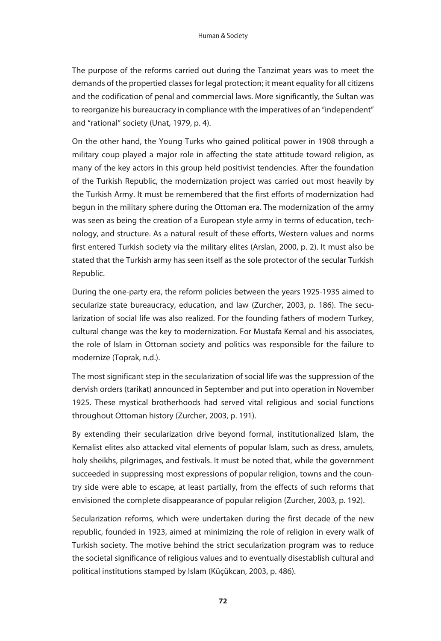The purpose of the reforms carried out during the Tanzimat years was to meet the demands of the propertied classes for legal protection; it meant equality for all citizens and the codification of penal and commercial laws. More significantly, the Sultan was to reorganize his bureaucracy in compliance with the imperatives of an "independent" and "rational" society (Unat, 1979, p. 4).

On the other hand, the Young Turks who gained political power in 1908 through a military coup played a major role in affecting the state attitude toward religion, as many of the key actors in this group held positivist tendencies. After the foundation of the Turkish Republic, the modernization project was carried out most heavily by the Turkish Army. It must be remembered that the first efforts of modernization had begun in the military sphere during the Ottoman era. The modernization of the army was seen as being the creation of a European style army in terms of education, technology, and structure. As a natural result of these efforts, Western values and norms first entered Turkish society via the military elites (Arslan, 2000, p. 2). It must also be stated that the Turkish army has seen itself as the sole protector of the secular Turkish Republic.

During the one-party era, the reform policies between the years 1925-1935 aimed to secularize state bureaucracy, education, and law (Zurcher, 2003, p. 186). The secularization of social life was also realized. For the founding fathers of modern Turkey, cultural change was the key to modernization. For Mustafa Kemal and his associates, the role of Islam in Ottoman society and politics was responsible for the failure to modernize (Toprak, n.d.).

The most significant step in the secularization of social life was the suppression of the dervish orders (tarikat) announced in September and put into operation in November 1925. These mystical brotherhoods had served vital religious and social functions throughout Ottoman history (Zurcher, 2003, p. 191).

By extending their secularization drive beyond formal, institutionalized Islam, the Kemalist elites also attacked vital elements of popular Islam, such as dress, amulets, holy sheikhs, pilgrimages, and festivals. It must be noted that, while the government succeeded in suppressing most expressions of popular religion, towns and the country side were able to escape, at least partially, from the effects of such reforms that envisioned the complete disappearance of popular religion (Zurcher, 2003, p. 192).

Secularization reforms, which were undertaken during the first decade of the new republic, founded in 1923, aimed at minimizing the role of religion in every walk of Turkish society. The motive behind the strict secularization program was to reduce the societal significance of religious values and to eventually disestablish cultural and political institutions stamped by Islam (Küçükcan, 2003, p. 486).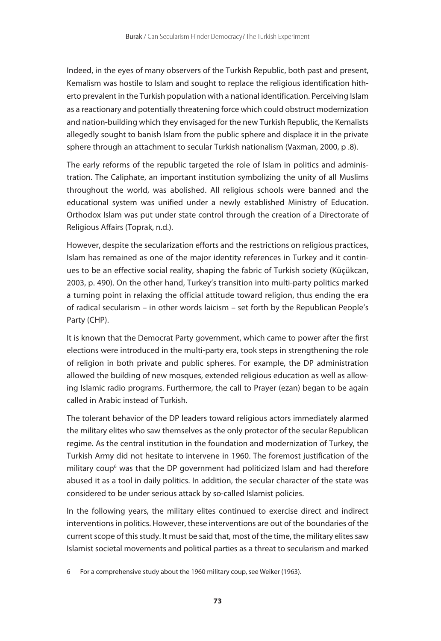Indeed, in the eyes of many observers of the Turkish Republic, both past and present, Kemalism was hostile to Islam and sought to replace the religious identification hitherto prevalent in the Turkish population with a national identification. Perceiving Islam as a reactionary and potentially threatening force which could obstruct modernization and nation-building which they envisaged for the new Turkish Republic, the Kemalists allegedly sought to banish Islam from the public sphere and displace it in the private sphere through an attachment to secular Turkish nationalism (Vaxman, 2000, p .8).

The early reforms of the republic targeted the role of Islam in politics and administration. The Caliphate, an important institution symbolizing the unity of all Muslims throughout the world, was abolished. All religious schools were banned and the educational system was unified under a newly established Ministry of Education. Orthodox Islam was put under state control through the creation of a Directorate of Religious Affairs (Toprak, n.d.).

However, despite the secularization efforts and the restrictions on religious practices, Islam has remained as one of the major identity references in Turkey and it continues to be an effective social reality, shaping the fabric of Turkish society (Küçükcan, 2003, p. 490). On the other hand, Turkey's transition into multi-party politics marked a turning point in relaxing the official attitude toward religion, thus ending the era of radical secularism – in other words laicism – set forth by the Republican People's Party (CHP).

It is known that the Democrat Party government, which came to power after the first elections were introduced in the multi-party era, took steps in strengthening the role of religion in both private and public spheres. For example, the DP administration allowed the building of new mosques, extended religious education as well as allowing Islamic radio programs. Furthermore, the call to Prayer (ezan) began to be again called in Arabic instead of Turkish.

The tolerant behavior of the DP leaders toward religious actors immediately alarmed the military elites who saw themselves as the only protector of the secular Republican regime. As the central institution in the foundation and modernization of Turkey, the Turkish Army did not hesitate to intervene in 1960. The foremost justification of the military coup<sup>6</sup> was that the DP government had politicized Islam and had therefore abused it as a tool in daily politics. In addition, the secular character of the state was considered to be under serious attack by so-called Islamist policies.

In the following years, the military elites continued to exercise direct and indirect interventions in politics. However, these interventions are out of the boundaries of the current scope of this study. It must be said that, most of the time, the military elites saw Islamist societal movements and political parties as a threat to secularism and marked

6 For a comprehensive study about the 1960 military coup, see Weiker (1963).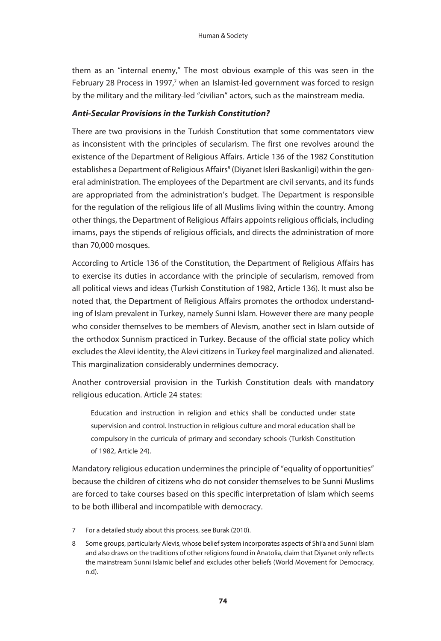them as an "internal enemy," The most obvious example of this was seen in the February 28 Process in 1997,<sup>7</sup> when an Islamist-led government was forced to resign by the military and the military-led "civilian" actors, such as the mainstream media.

### *Anti-Secular Provisions in the Turkish Constitution?*

There are two provisions in the Turkish Constitution that some commentators view as inconsistent with the principles of secularism. The first one revolves around the existence of the Department of Religious Affairs. Article 136 of the 1982 Constitution establishes a Department of Religious Affairs<sup>8</sup> (Diyanet Isleri Baskanligi) within the general administration. The employees of the Department are civil servants, and its funds are appropriated from the administration's budget. The Department is responsible for the regulation of the religious life of all Muslims living within the country. Among other things, the Department of Religious Affairs appoints religious officials, including imams, pays the stipends of religious officials, and directs the administration of more than 70,000 mosques.

According to Article 136 of the Constitution, the Department of Religious Affairs has to exercise its duties in accordance with the principle of secularism, removed from all political views and ideas (Turkish Constitution of 1982, Article 136). It must also be noted that, the Department of Religious Affairs promotes the orthodox understanding of Islam prevalent in Turkey, namely Sunni Islam. However there are many people who consider themselves to be members of Alevism, another sect in Islam outside of the orthodox Sunnism practiced in Turkey. Because of the official state policy which excludes the Alevi identity, the Alevi citizens in Turkey feel marginalized and alienated. This marginalization considerably undermines democracy.

Another controversial provision in the Turkish Constitution deals with mandatory religious education. Article 24 states:

Education and instruction in religion and ethics shall be conducted under state supervision and control. Instruction in religious culture and moral education shall be compulsory in the curricula of primary and secondary schools (Turkish Constitution of 1982, Article 24).

Mandatory religious education undermines the principle of "equality of opportunities" because the children of citizens who do not consider themselves to be Sunni Muslims are forced to take courses based on this specific interpretation of Islam which seems to be both illiberal and incompatible with democracy.

- 7 For a detailed study about this process, see Burak (2010).
- 8 Some groups, particularly Alevis, whose belief system incorporates aspects of Shi'a and Sunni Islam and also draws on the traditions of other religions found in Anatolia, claim that Diyanet only reflects the mainstream Sunni Islamic belief and excludes other beliefs (World Movement for Democracy, n.d).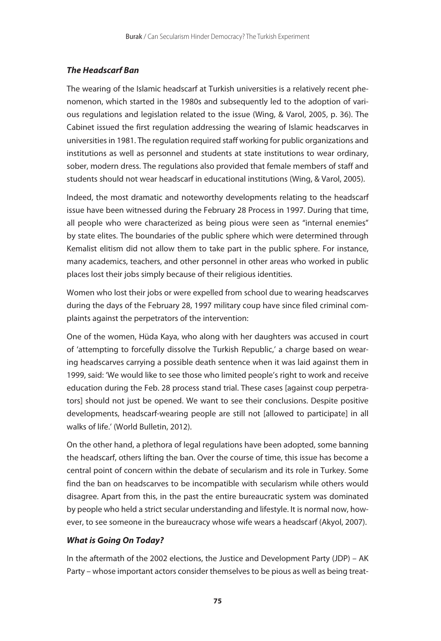## *The Headscarf Ban*

The wearing of the Islamic headscarf at Turkish universities is a relatively recent phenomenon, which started in the 1980s and subsequently led to the adoption of various regulations and legislation related to the issue (Wing, & Varol, 2005, p. 36). The Cabinet issued the first regulation addressing the wearing of Islamic headscarves in universities in 1981. The regulation required staff working for public organizations and institutions as well as personnel and students at state institutions to wear ordinary, sober, modern dress. The regulations also provided that female members of staff and students should not wear headscarf in educational institutions (Wing, & Varol, 2005).

Indeed, the most dramatic and noteworthy developments relating to the headscarf issue have been witnessed during the February 28 Process in 1997. During that time, all people who were characterized as being pious were seen as "internal enemies" by state elites. The boundaries of the public sphere which were determined through Kemalist elitism did not allow them to take part in the public sphere. For instance, many academics, teachers, and other personnel in other areas who worked in public places lost their jobs simply because of their religious identities.

Women who lost their jobs or were expelled from school due to wearing headscarves during the days of the February 28, 1997 military coup have since filed criminal complaints against the perpetrators of the intervention:

One of the women, Hüda Kaya, who along with her daughters was accused in court of 'attempting to forcefully dissolve the Turkish Republic,' a charge based on wearing headscarves carrying a possible death sentence when it was laid against them in 1999, said: 'We would like to see those who limited people's right to work and receive education during the Feb. 28 process stand trial. These cases [against coup perpetrators] should not just be opened. We want to see their conclusions. Despite positive developments, headscarf-wearing people are still not [allowed to participate] in all walks of life.' (World Bulletin, 2012).

On the other hand, a plethora of legal regulations have been adopted, some banning the headscarf, others lifting the ban. Over the course of time, this issue has become a central point of concern within the debate of secularism and its role in Turkey. Some find the ban on headscarves to be incompatible with secularism while others would disagree. Apart from this, in the past the entire bureaucratic system was dominated by people who held a strict secular understanding and lifestyle. It is normal now, however, to see someone in the bureaucracy whose wife wears a headscarf (Akyol, 2007).

## *What is Going On Today?*

In the aftermath of the 2002 elections, the Justice and Development Party (JDP) – AK Party – whose important actors consider themselves to be pious as well as being treat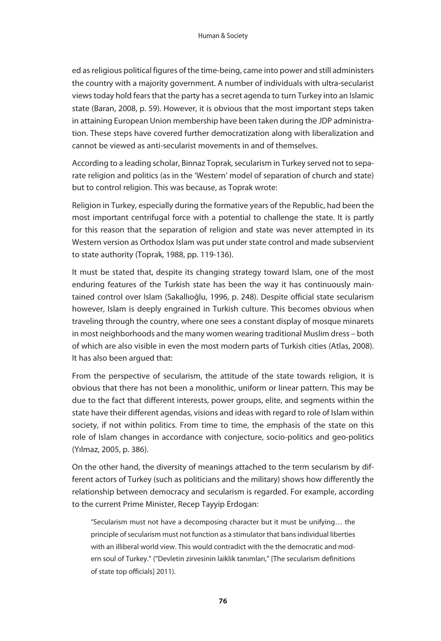ed as religious political figures of the time-being, came into power and still administers the country with a majority government. A number of individuals with ultra-secularist views today hold fears that the party has a secret agenda to turn Turkey into an Islamic state (Baran, 2008, p. 59). However, it is obvious that the most important steps taken in attaining European Union membership have been taken during the JDP administration. These steps have covered further democratization along with liberalization and cannot be viewed as anti-secularist movements in and of themselves.

According to a leading scholar, Binnaz Toprak, secularism in Turkey served not to separate religion and politics (as in the 'Western' model of separation of church and state) but to control religion. This was because, as Toprak wrote:

Religion in Turkey, especially during the formative years of the Republic, had been the most important centrifugal force with a potential to challenge the state. It is partly for this reason that the separation of religion and state was never attempted in its Western version as Orthodox Islam was put under state control and made subservient to state authority (Toprak, 1988, pp. 119-136).

It must be stated that, despite its changing strategy toward Islam, one of the most enduring features of the Turkish state has been the way it has continuously maintained control over Islam (Sakallıoğlu, 1996, p. 248). Despite official state secularism however, Islam is deeply engrained in Turkish culture. This becomes obvious when traveling through the country, where one sees a constant display of mosque minarets in most neighborhoods and the many women wearing traditional Muslim dress – both of which are also visible in even the most modern parts of Turkish cities (Atlas, 2008). It has also been argued that:

From the perspective of secularism, the attitude of the state towards religion, it is obvious that there has not been a monolithic, uniform or linear pattern. This may be due to the fact that different interests, power groups, elite, and segments within the state have their different agendas, visions and ideas with regard to role of Islam within society, if not within politics. From time to time, the emphasis of the state on this role of Islam changes in accordance with conjecture, socio-politics and geo-politics (Yılmaz, 2005, p. 386).

On the other hand, the diversity of meanings attached to the term secularism by different actors of Turkey (such as politicians and the military) shows how differently the relationship between democracy and secularism is regarded. For example, according to the current Prime Minister, Recep Tayyip Erdogan:

"Secularism must not have a decomposing character but it must be unifying… the principle of secularism must not function as a stimulator that bans individual liberties with an illiberal world view. This would contradict with the the democratic and modern soul of Turkey." ("Devletin zirvesinin laiklik tanımları," [The secularism definitions of state top officials] 2011).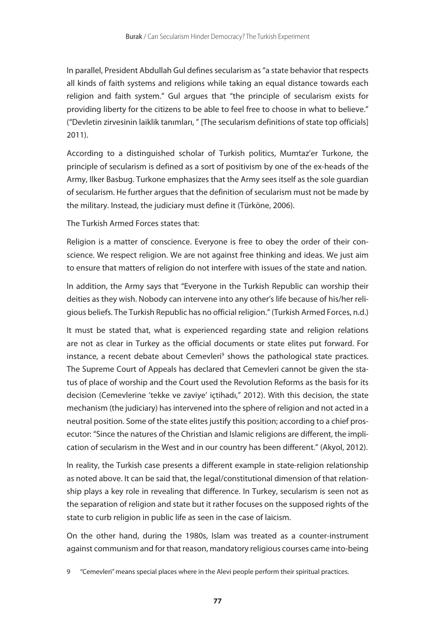In parallel, President Abdullah Gul defines secularism as "a state behavior that respects all kinds of faith systems and religions while taking an equal distance towards each religion and faith system." Gul argues that "the principle of secularism exists for providing liberty for the citizens to be able to feel free to choose in what to believe." ("Devletin zirvesinin laiklik tanımları, " [The secularism definitions of state top officials] 2011).

According to a distinguished scholar of Turkish politics, Mumtaz'er Turkone, the principle of secularism is defined as a sort of positivism by one of the ex-heads of the Army, Ilker Basbug. Turkone emphasizes that the Army sees itself as the sole guardian of secularism. He further argues that the definition of secularism must not be made by the military. Instead, the judiciary must define it (Türköne, 2006).

The Turkish Armed Forces states that:

Religion is a matter of conscience. Everyone is free to obey the order of their conscience. We respect religion. We are not against free thinking and ideas. We just aim to ensure that matters of religion do not interfere with issues of the state and nation.

In addition, the Army says that "Everyone in the Turkish Republic can worship their deities as they wish. Nobody can intervene into any other's life because of his/her religious beliefs. The Turkish Republic has no official religion." (Turkish Armed Forces, n.d.)

It must be stated that, what is experienced regarding state and religion relations are not as clear in Turkey as the official documents or state elites put forward. For instance, a recent debate about Cemevleri<sup>9</sup> shows the pathological state practices. The Supreme Court of Appeals has declared that Cemevleri cannot be given the status of place of worship and the Court used the Revolution Reforms as the basis for its decision (Cemevlerine 'tekke ve zaviye' içtihadı," 2012). With this decision, the state mechanism (the judiciary) has intervened into the sphere of religion and not acted in a neutral position. Some of the state elites justify this position; according to a chief prosecutor: "Since the natures of the Christian and Islamic religions are different, the implication of secularism in the West and in our country has been different." (Akyol, 2012).

In reality, the Turkish case presents a different example in state-religion relationship as noted above. It can be said that, the legal/constitutional dimension of that relationship plays a key role in revealing that difference. In Turkey, secularism is seen not as the separation of religion and state but it rather focuses on the supposed rights of the state to curb religion in public life as seen in the case of laicism.

On the other hand, during the 1980s, Islam was treated as a counter-instrument against communism and for that reason, mandatory religious courses came into-being

9 "Cemevleri" means special places where in the Alevi people perform their spiritual practices.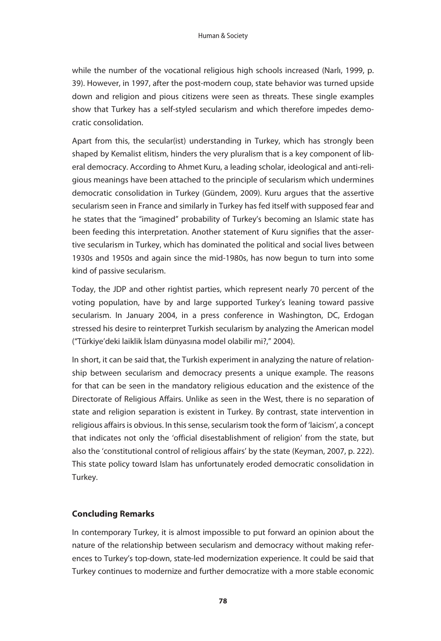while the number of the vocational religious high schools increased (Narlı, 1999, p. 39). However, in 1997, after the post-modern coup, state behavior was turned upside down and religion and pious citizens were seen as threats. These single examples show that Turkey has a self-styled secularism and which therefore impedes democratic consolidation.

Apart from this, the secular(ist) understanding in Turkey, which has strongly been shaped by Kemalist elitism, hinders the very pluralism that is a key component of liberal democracy. According to Ahmet Kuru, a leading scholar, ideological and anti-religious meanings have been attached to the principle of secularism which undermines democratic consolidation in Turkey (Gündem, 2009). Kuru argues that the assertive secularism seen in France and similarly in Turkey has fed itself with supposed fear and he states that the "imagined" probability of Turkey's becoming an Islamic state has been feeding this interpretation. Another statement of Kuru signifies that the assertive secularism in Turkey, which has dominated the political and social lives between 1930s and 1950s and again since the mid-1980s, has now begun to turn into some kind of passive secularism.

Today, the JDP and other rightist parties, which represent nearly 70 percent of the voting population, have by and large supported Turkey's leaning toward passive secularism. In January 2004, in a press conference in Washington, DC, Erdogan stressed his desire to reinterpret Turkish secularism by analyzing the American model ("Türkiye'deki laiklik İslam dünyasına model olabilir mi?," 2004).

In short, it can be said that, the Turkish experiment in analyzing the nature of relationship between secularism and democracy presents a unique example. The reasons for that can be seen in the mandatory religious education and the existence of the Directorate of Religious Affairs. Unlike as seen in the West, there is no separation of state and religion separation is existent in Turkey. By contrast, state intervention in religious affairs is obvious. In this sense, secularism took the form of 'laicism', a concept that indicates not only the 'official disestablishment of religion' from the state, but also the 'constitutional control of religious affairs' by the state (Keyman, 2007, p. 222). This state policy toward Islam has unfortunately eroded democratic consolidation in Turkey.

## **Concluding Remarks**

In contemporary Turkey, it is almost impossible to put forward an opinion about the nature of the relationship between secularism and democracy without making references to Turkey's top-down, state-led modernization experience. It could be said that Turkey continues to modernize and further democratize with a more stable economic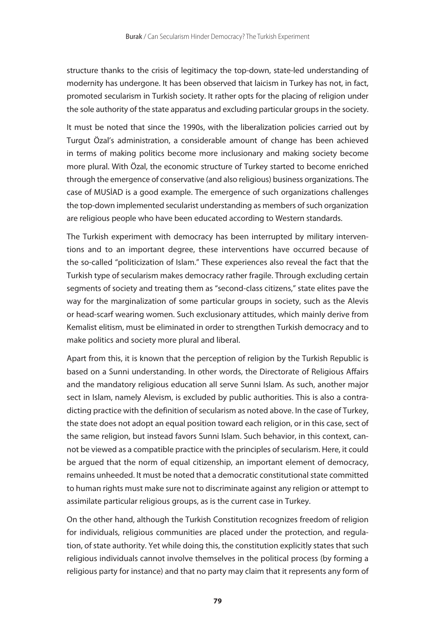structure thanks to the crisis of legitimacy the top-down, state-led understanding of modernity has undergone. It has been observed that laicism in Turkey has not, in fact, promoted secularism in Turkish society. It rather opts for the placing of religion under the sole authority of the state apparatus and excluding particular groups in the society.

It must be noted that since the 1990s, with the liberalization policies carried out by Turgut Özal's administration, a considerable amount of change has been achieved in terms of making politics become more inclusionary and making society become more plural. With Özal, the economic structure of Turkey started to become enriched through the emergence of conservative (and also religious) business organizations. The case of MUSİAD is a good example. The emergence of such organizations challenges the top-down implemented secularist understanding as members of such organization are religious people who have been educated according to Western standards.

The Turkish experiment with democracy has been interrupted by military interventions and to an important degree, these interventions have occurred because of the so-called "politicization of Islam." These experiences also reveal the fact that the Turkish type of secularism makes democracy rather fragile. Through excluding certain segments of society and treating them as "second-class citizens," state elites pave the way for the marginalization of some particular groups in society, such as the Alevis or head-scarf wearing women. Such exclusionary attitudes, which mainly derive from Kemalist elitism, must be eliminated in order to strengthen Turkish democracy and to make politics and society more plural and liberal.

Apart from this, it is known that the perception of religion by the Turkish Republic is based on a Sunni understanding. In other words, the Directorate of Religious Affairs and the mandatory religious education all serve Sunni Islam. As such, another major sect in Islam, namely Alevism, is excluded by public authorities. This is also a contradicting practice with the definition of secularism as noted above. In the case of Turkey, the state does not adopt an equal position toward each religion, or in this case, sect of the same religion, but instead favors Sunni Islam. Such behavior, in this context, cannot be viewed as a compatible practice with the principles of secularism. Here, it could be argued that the norm of equal citizenship, an important element of democracy, remains unheeded. It must be noted that a democratic constitutional state committed to human rights must make sure not to discriminate against any religion or attempt to assimilate particular religious groups, as is the current case in Turkey.

On the other hand, although the Turkish Constitution recognizes freedom of religion for individuals, religious communities are placed under the protection, and regulation, of state authority. Yet while doing this, the constitution explicitly states that such religious individuals cannot involve themselves in the political process (by forming a religious party for instance) and that no party may claim that it represents any form of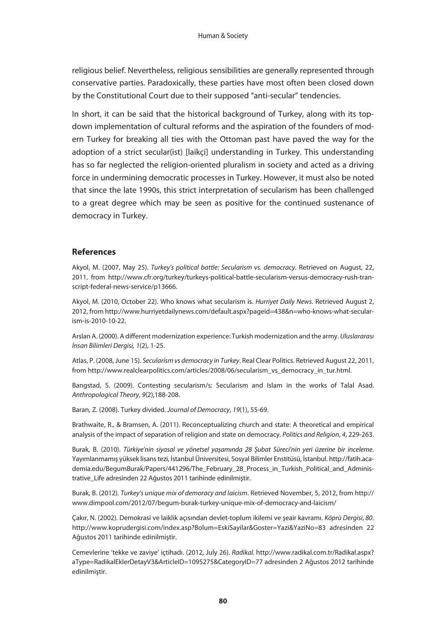religious belief. Nevertheless, religious sensibilities are generally represented through conservative parties. Paradoxically, these parties have most often been closed down by the Constitutional Court due to their supposed "anti-secular" tendencies.

In short, it can be said that the historical background of Turkey, along with its topdown implementation of cultural reforms and the aspiration of the founders of modern Turkey for breaking all ties with the Ottoman past have paved the way for the adoption of a strict secular(ist) [laikçi] understanding in Turkey. This understanding has so far neglected the religion-oriented pluralism in society and acted as a driving force in undermining democratic processes in Turkey. However, it must also be noted that since the late 1990s, this strict interpretation of secularism has been challenged to a great degree which may be seen as positive for the continued sustenance of democracy in Turkey.

#### **References**

Akyol, M. (2007, May 25). *Turkey's political battle: Secularism vs. democracy*. Retrieved on August, 22, 2011, from http://www.cfr.org/turkey/turkeys-political-battle-secularism-versus-democracy-rush-transcript-federal-news-service/p13666.

Akyol, M. (2010, October 22). Who knows what secularism is. *Hurriyet Daily News*. Retrieved August 2, 2012, from http://www.hurriyetdailynews.com/default.aspx?pageid=438&n=who-knows-what-secularism-is-2010-10-22.

Arslan A. (2000). A different modernization experience: Turkish modernization and the army. *Uluslararası İnsan Bilimleri Dergisi, 1*(2), 1-25.

Atlas, P. (2008, June 15). *Secularism vs democracy in Turkey*. Real Clear Politics. Retrieved August 22, 2011, from http://www.realclearpolitics.com/articles/2008/06/secularism\_vs\_democracy\_in\_tur.html.

Bangstad, S. (2009). Contesting secularism/s: Secularism and Islam in the works of Talal Asad. *Anthropological Theory*, *9*(2),188-208.

Baran, Z. (2008). Turkey divided. *Journal of Democracy*, *19*(1), 55-69.

Brathwaite, R., & Bramsen, A. (2011). Reconceptualizing church and state: A theoretical and empirical analysis of the impact of separation of religion and state on democracy. *Politics and Religion*, *4*, 229-263.

Burak, B. (2010). *Türkiye'nin siyasal ve yönetsel yaşamında 28 Şubat Süreci'nin yeri üzerine bir inceleme*. Yayımlanmamış yüksek lisans tezi, İstanbul Üniversitesi, Sosyal Bilimler Enstitüsü, İstanbul. http://fatih.academia.edu/BegumBurak/Papers/441296/The February 28 Process in Turkish Political and Administrative\_Life adresinden 22 Ağustos 2011 tarihinde edinilmiştir.

Burak, B. (2012). *Turkey's unique mix of demoracy and laicism*. Retrieved November, 5, 2012, from http:// www.dimpool.com/2012/07/begum-burak-turkey-unique-mix-of-democracy-and-laicism/

Çakır, N. (2002). Demokrasi ve laiklik açısından devlet-toplum ikilemi ve şeair kavramı. *Köprü Dergisi*, *80*. http://www.koprudergisi.com/index.asp?Bolum=EskiSayilar&Goster=Yazi&YaziNo=83 adresinden 22 Ağustos 2011 tarihinde edinilmiştir.

Cemevlerine 'tekke ve zaviye' içtihadı. (2012, July 26). *Radikal.* http://www.radikal.com.tr/Radikal.aspx? aType=RadikalEklerDetayV3&ArticleID=1095275&CategoryID=77 adresinden 2 Ağustos 2012 tarihinde edinilmiştir.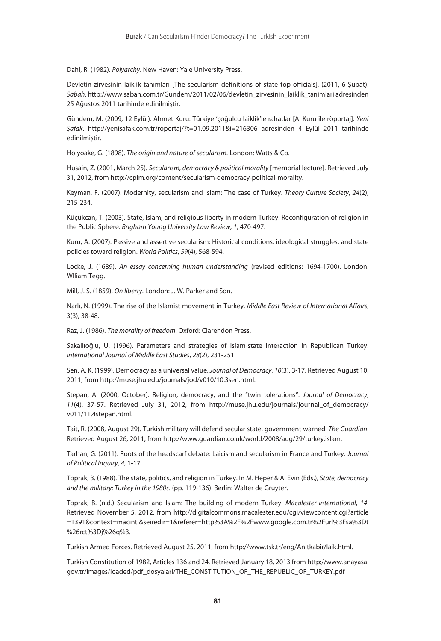Dahl, R. (1982). *Polyarchy*. New Haven: Yale University Press.

Devletin zirvesinin laiklik tanımları [The secularism definitions of state top officials]. (2011, 6 Şubat). *Sabah*. http://www.sabah.com.tr/Gundem/2011/02/06/devletin\_zirvesinin\_laiklik\_tanimlari adresinden 25 Ağustos 2011 tarihinde edinilmiştir.

Gündem, M. (2009, 12 Eylül). Ahmet Kuru: Türkiye 'çoğulcu laiklik'le rahatlar [A. Kuru ile röportaj]. *Yeni Şafak*. http://yenisafak.com.tr/roportaj/?t=01.09.2011&i=216306 adresinden 4 Eylül 2011 tarihinde edinilmiştir.

Holyoake, G. (1898). *The origin and nature of secularism.* London: Watts & Co.

Husain, Z. (2001, March 25). *Secularism, democracy & political morality* [memorial lecture]. Retrieved July 31, 2012, from http://cpim.org/content/secularism-democracy-political-morality.

Keyman, F. (2007). Modernity, secularism and Islam: The case of Turkey. *Theory Culture Society*, *24*(2), 215-234.

Küçükcan, T. (2003). State, Islam, and religious liberty in modern Turkey: Reconfiguration of religion in the Public Sphere. *Brigham Young University Law Review*, *1*, 470-497.

Kuru, A. (2007). Passive and assertive secularism: Historical conditions, ideological struggles, and state policies toward religion. *World Politics*, *59*(4), 568-594.

Locke, J. (1689). *An essay concerning human understanding* (revised editions: 1694-1700). London: Wlliam Tegg.

Mill, J. S. (1859). *On liberty*. London: J. W. Parker and Son.

Narlı, N. (1999). The rise of the Islamist movement in Turkey. *Middle East Review of International Affairs*, 3(3), 38-48.

Raz, J. (1986). *The morality of freedom*. Oxford: Clarendon Press.

Sakallıoğlu, U. (1996). Parameters and strategies of Islam-state interaction in Republican Turkey. *International Journal of Middle East Studies*, *28*(2), 231-251.

Sen, A. K. (1999). Democracy as a universal value. *Journal of Democracy*, *10*(3), 3-17. Retrieved August 10, 2011, from http://muse.jhu.edu/journals/jod/v010/10.3sen.html.

Stepan, A. (2000, October). Religion, democracy, and the "twin tolerations". *Journal of Democracy*, *11*(4), 37-57. Retrieved July 31, 2012, from http://muse.jhu.edu/journals/journal\_of\_democracy/ v011/11.4stepan.html.

Tait, R. (2008, August 29). Turkish military will defend secular state, government warned. *The Guardian*. Retrieved August 26, 2011, from http://www.guardian.co.uk/world/2008/aug/29/turkey.islam.

Tarhan, G. (2011). Roots of the headscarf debate: Laicism and secularism in France and Turkey. *Journal of Political Inquiry*, *4*, 1-17.

Toprak, B. (1988). The state, politics, and religion in Turkey. In M. Heper & A. Evin (Eds.), *State, democracy and the military: Turkey in the 1980s*. (pp. 119-136). Berlin: Walter de Gruyter.

Toprak, B. (n.d.) Secularism and Islam: The building of modern Turkey. *Macalester International*, *14*. Retrieved November 5, 2012, from http://digitalcommons.macalester.edu/cgi/viewcontent.cgi?article =1391&context=macintl&seiredir=1&referer=http%3A%2F%2Fwww.google.com.tr%2Furl%3Fsa%3Dt %26rct%3Dj%26q%3.

Turkish Armed Forces. Retrieved August 25, 2011, from http://www.tsk.tr/eng/Anitkabir/laik.html.

Turkish Constitution of 1982, Articles 136 and 24. Retrieved January 18, 2013 from http://www.anayasa. gov.tr/images/loaded/pdf\_dosyalari/THE\_CONSTITUTION\_OF\_THE\_REPUBLIC\_OF\_TURKEY.pdf